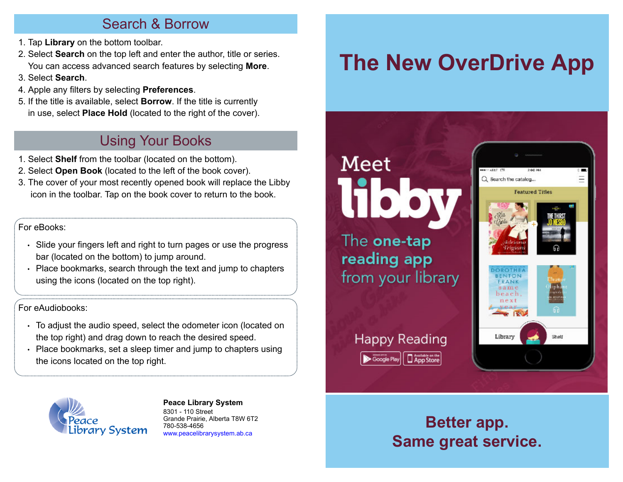#### Search & Borrow

- 1. Tap **Library** on the bottom toolbar.
- 2. Select **Search** on the top left and enter the author, title or series. You can access advanced search features by selecting **More**.
- 3. Select **Search**.
- 4. Apple any filters by selecting **Preferences**.
- 5. If the title is available, select **Borrow**. If the title is currently in use, select **Place Hold** (located to the right of the cover).

#### Using Your Books

- 1. Select **Shelf** from the toolbar (located on the bottom).
- 2. Select **Open Book** (located to the left of the book cover).
- 3. The cover of your most recently opened book will replace the Libby icon in the toolbar. Tap on the book cover to return to the book.

#### For eBooks:

- Slide your fingers left and right to turn pages or use the progress bar (located on the bottom) to jump around.
- Place bookmarks, search through the text and jump to chapters using the icons (located on the top right).

#### For eAudiobooks:

- To adjust the audio speed, select the odometer icon (located on the top right) and drag down to reach the desired speed.
- Place bookmarks, set a sleep timer and jump to chapters using the icons located on the top right.



**[P](http://4la.co/1HEQ86)eace Library System** [8](http://4la.co/1HEQ86)301 - 110 Street Grande Prairie, Alberta T8W 6T2 780-538-4656 [www.peacelibrarysystem.ab.ca](http://4la.co/1HEQ86)

# **The New OverDrive App**

## Meet **FTI TATA 11994** Q Search the catalog... **Featured Titles** The one-tap reading app from your library **Happy Reading** Library Shett App Store

#### **Better app. Same great service.**